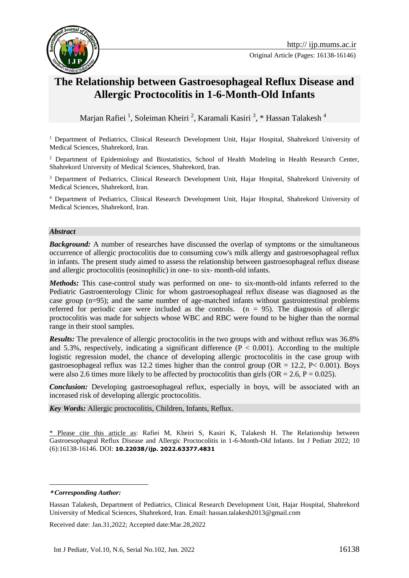

Original Article (Pages: 16138-16146)

# **The Relationship between Gastroesophageal Reflux Disease and Allergic Proctocolitis in 1-6-Month-Old Infants**

Marjan Rafiei<sup>1</sup>, Soleiman Kheiri<sup>2</sup>, Karamali Kasiri<sup>3</sup>, \* Hassan Talakesh<sup>4</sup>

<sup>1</sup> Department of Pediatrics, Clinical Research Development Unit, Hajar Hospital, Shahrekord University of Medical Sciences, Shahrekord, Iran.

<sup>2</sup> Department of Epidemiology and Biostatistics, School of Health Modeling in Health Research Center, Shahrekord University of Medical Sciences, Shahrekord, Iran.

<sup>3</sup> Department of Pediatrics, Clinical Research Development Unit, Hajar Hospital, Shahrekord University of Medical Sciences, Shahrekord, Iran.

<sup>4</sup> Department of Pediatrics, Clinical Research Development Unit, Hajar Hospital, Shahrekord University of Medical Sciences, Shahrekord, Iran.

#### *Abstract*

**Background:** A number of researches have discussed the overlap of symptoms or the simultaneous occurrence of allergic proctocolitis due to consuming cow's milk allergy and gastroesophageal reflux in infants. The present study aimed to assess the relationship between gastroesophageal reflux disease and allergic proctocolitis (eosinophilic) in one- to six- month-old infants.

*Methods:* This case-control study was performed on one- to six-month-old infants referred to the Pediatric Gastroenterology Clinic for whom gastroesophageal reflux disease was diagnosed as the case group (n=95); and the same number of age-matched infants without gastrointestinal problems referred for periodic care were included as the controls.  $(n = 95)$ . The diagnosis of allergic proctocolitis was made for subjects whose WBC and RBC were found to be higher than the normal range in their stool samples.

*Results:* The prevalence of allergic proctocolitis in the two groups with and without reflux was 36.8% and 5.3%, respectively, indicating a significant difference ( $P < 0.001$ ). According to the multiple logistic regression model, the chance of developing allergic proctocolitis in the case group with gastroesophageal reflux was 12.2 times higher than the control group ( $OR = 12.2$ ,  $P < 0.001$ ). Boys were also 2.6 times more likely to be affected by proctocolitis than girls ( $OR = 2.6$ ,  $P = 0.025$ ).

*Conclusion:* Developing gastroesophageal reflux, especially in boys, will be associated with an increased risk of developing allergic proctocolitis.

*Key Words:* Allergic proctocolitis, Children, Infants, Reflux.

\* Please cite this article as: Rafiei M, Kheiri S, Kasiri K, Talakesh H. The Relationship between Gastroesophageal Reflux Disease and Allergic Proctocolitis in 1-6-Month-Old Infants. Int J Pediatr 2022; 10 (6):16138-16146. DOI: **10.22038/ijp. 2022.63377.4831**

1

Received date: Jan.31,2022; Accepted date:Mar.28,2022

**<sup>\*</sup>** *Corresponding Author:*

Hassan Talakesh, Department of Pediatrics, Clinical Research Development Unit, Hajar Hospital, Shahrekord University of Medical Sciences, Shahrekord, Iran. Email: hassan.talakesh2013@gmail.com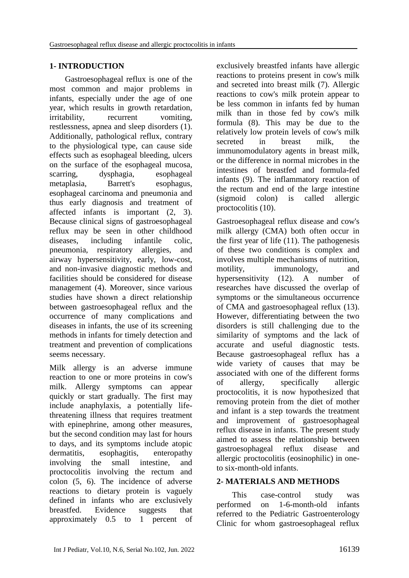# **1- INTRODUCTION**

Gastroesophageal reflux is one of the most common and major problems in infants, especially under the age of one year, which results in growth retardation, irritability, recurrent vomiting, restlessness, apnea and sleep disorders [\(1\)](#page-6-0). Additionally, pathological reflux, contrary to the physiological type, can cause side effects such as esophageal bleeding, ulcers on the surface of the esophageal mucosa, scarring, dysphagia, esophageal metaplasia, Barrett's esophagus, esophageal carcinoma and pneumonia and thus early diagnosis and treatment of affected infants is important [\(2,](#page-6-1) [3\)](#page-6-2). Because clinical signs of gastroesophageal reflux may be seen in other childhood diseases, including infantile colic, pneumonia, respiratory allergies, and airway hypersensitivity, early, low-cost, and non-invasive diagnostic methods and facilities should be considered for disease management [\(4\)](#page-6-3). Moreover, since various studies have shown a direct relationship between gastroesophageal reflux and the occurrence of many complications and diseases in infants, the use of its screening methods in infants for timely detection and treatment and prevention of complications seems necessary.

Milk allergy is an adverse immune reaction to one or more proteins in cow's milk. Allergy symptoms can appear quickly or start gradually. The first may include anaphylaxis, a potentially lifethreatening illness that requires treatment with epinephrine, among other measures, but the second condition may last for hours to days, and its symptoms include atopic dermatitis, esophagitis, enteropathy involving the small intestine, and proctocolitis involving the rectum and colon [\(5,](#page-6-4) [6\)](#page-6-5). The incidence of adverse reactions to dietary protein is vaguely defined in infants who are exclusively breastfed. Evidence suggests that approximately 0.5 to 1 percent of exclusively breastfed infants have allergic reactions to proteins present in cow's milk and secreted into breast milk [\(7\)](#page-6-6). Allergic reactions to cow's milk protein appear to be less common in infants fed by human milk than in those fed by cow's milk formula [\(8\)](#page-7-0). This may be due to the relatively low protein levels of cow's milk secreted in breast milk the immunomodulatory agents in breast milk, or the difference in normal microbes in the intestines of breastfed and formula-fed infants [\(9\)](#page-7-1). The inflammatory reaction of the rectum and end of the large intestine (sigmoid colon) is called allergic proctocolitis [\(10\)](#page-7-2).

Gastroesophageal reflux disease and cow's milk allergy (CMA) both often occur in the first year of life [\(11\)](#page-7-3). The pathogenesis of these two conditions is complex and involves multiple mechanisms of nutrition, motility, immunology, and hypersensitivity [\(12\)](#page-7-4). A number of researches have discussed the overlap of symptoms or the simultaneous occurrence of CMA and gastroesophageal reflux [\(13\)](#page-7-5). However, differentiating between the two disorders is still challenging due to the similarity of symptoms and the lack of accurate and useful diagnostic tests. Because gastroesophageal reflux has a wide variety of causes that may be associated with one of the different forms of allergy, specifically allergic proctocolitis, it is now hypothesized that removing protein from the diet of mother and infant is a step towards the treatment and improvement of gastroesophageal reflux disease in infants. The present study aimed to assess the relationship between gastroesophageal reflux disease and allergic proctocolitis (eosinophilic) in oneto six-month-old infants.

# **2- MATERIALS AND METHODS**

This case-control study was performed on 1-6-month-old infants referred to the Pediatric Gastroenterology Clinic for whom gastroesophageal reflux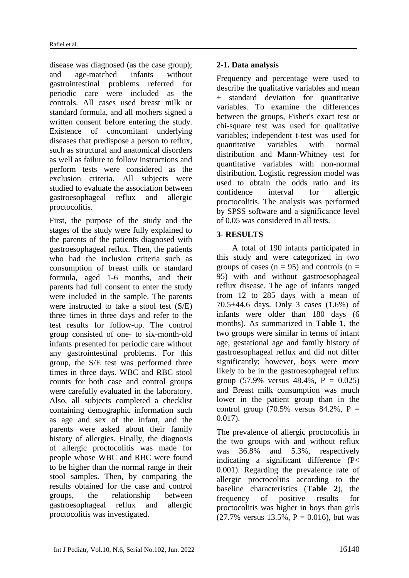disease was diagnosed (as the case group); and age-matched infants without gastrointestinal problems referred for periodic care were included as the controls. All cases used breast milk or standard formula, and all mothers signed a written consent before entering the study. Existence of concomitant underlying diseases that predispose a person to reflux, such as structural and anatomical disorders as well as failure to follow instructions and perform tests were considered as the exclusion criteria. All subjects were studied to evaluate the association between gastroesophageal reflux and allergic proctocolitis.

First, the purpose of the study and the stages of the study were fully explained to the parents of the patients diagnosed with gastroesophageal reflux. Then, the patients who had the inclusion criteria such as consumption of breast milk or standard formula, aged 1-6 months, and their parents had full consent to enter the study were included in the sample. The parents were instructed to take a stool test (S/E) three times in three days and refer to the test results for follow-up. The control group consisted of one- to six-month-old infants presented for periodic care without any gastrointestinal problems. For this group, the S/E test was performed three times in three days. WBC and RBC stool counts for both case and control groups were carefully evaluated in the laboratory. Also, all subjects completed a checklist containing demographic information such as age and sex of the infant, and the parents were asked about their family history of allergies. Finally, the diagnosis of allergic proctocolitis was made for people whose WBC and RBC were found to be higher than the normal range in their stool samples. Then, by comparing the results obtained for the case and control groups, the relationship between gastroesophageal reflux and allergic proctocolitis was investigated.

# **2-1. Data analysis**

Frequency and percentage were used to describe the qualitative variables and mean  $\pm$  standard deviation for quantitative variables. To examine the differences between the groups, Fisher's exact test or chi-square test was used for qualitative variables; independent t-test was used for quantitative variables with normal distribution and Mann-Whitney test for quantitative variables with non-normal distribution. Logistic regression model was used to obtain the odds ratio and its confidence interval for allergic proctocolitis. The analysis was performed by SPSS software and a significance level of 0.05 was considered in all tests.

# **3- RESULTS**

A total of 190 infants participated in this study and were categorized in two groups of cases ( $n = 95$ ) and controls ( $n =$ 95) with and without gastroesophageal reflux disease. The age of infants ranged from 12 to 285 days with a mean of 70.5±44.6 days. Only 3 cases (1.6%) of infants were older than 180 days (6 months). As summarized in **Table 1**, the two groups were similar in terms of infant age, gestational age and family history of gastroesophageal reflux and did not differ significantly; however, boys were more likely to be in the gastroesophageal reflux group  $(57.9\% \text{ versus } 48.4\% \text{ , } P = 0.025)$ and Breast milk consumption was much lower in the patient group than in the control group (70.5% versus  $84.2\%$ , P = 0.017).

The prevalence of allergic proctocolitis in the two groups with and without reflux was 36.8% and 5.3%, respectively indicating a significant difference (P< 0.001). Regarding the prevalence rate of allergic proctocolitis according to the baseline characteristics (**Table 2**), the frequency of positive results for proctocolitis was higher in boys than girls  $(27.7\% \text{ versus } 13.5\% \text{ , } P = 0.016)$ , but was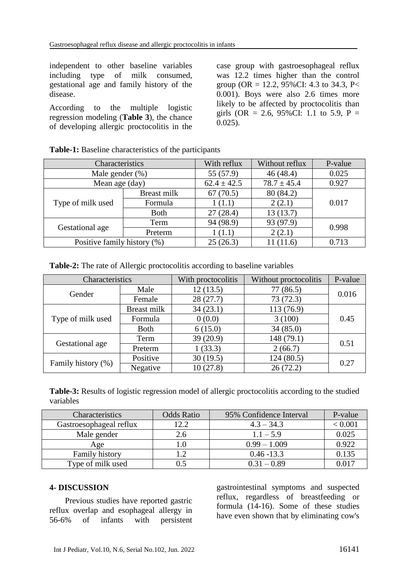independent to other baseline variables including type of milk consumed, gestational age and family history of the disease.

According to the multiple logistic regression modeling (**Table 3**), the chance of developing allergic proctocolitis in the case group with gastroesophageal reflux was 12.2 times higher than the control group (OR = 12.2, 95%CI: 4.3 to 34.3, P< 0.001). Boys were also 2.6 times more likely to be affected by proctocolitis than girls (OR = 2.6, 95%CI: 1.1 to 5.9, P = 0.025).

| Characteristics             |             | With reflux     | Without reflux  | P-value |  |
|-----------------------------|-------------|-----------------|-----------------|---------|--|
| Male gender $(\%)$          |             | 55 (57.9)       | 46(48.4)        | 0.025   |  |
| Mean age (day)              |             | $62.4 \pm 42.5$ | $78.7 \pm 45.4$ | 0.927   |  |
| Type of milk used           | Breast milk | 67(70.5)        | 80 (84.2)       | 0.017   |  |
|                             | Formula     | 1(1.1)          | 2(2.1)          |         |  |
|                             | <b>Both</b> | 27(28.4)        | 13(13.7)        |         |  |
| Gestational age             | Term        | 94 (98.9)       | 93 (97.9)       | 0.998   |  |
|                             | Preterm     | 1(1.1)          | 2(2.1)          |         |  |
| Positive family history (%) |             | 25(26.3)        | 11(11.6)        | 0.713   |  |

**Table-1:** Baseline characteristics of the participants

**Table-2:** The rate of Allergic proctocolitis according to baseline variables

| <b>Characteristics</b> |             | With proctocolitis | Without proctocolitis | P-value |  |
|------------------------|-------------|--------------------|-----------------------|---------|--|
| Gender                 | Male        | 12(13.5)           | 77 (86.5)             | 0.016   |  |
|                        | Female      | 28(27.7)           | 73(72.3)              |         |  |
| Type of milk used      | Breast milk | 34(23.1)           | 113 (76.9)            |         |  |
|                        | Formula     | 0(0.0)             | 3(100)                | 0.45    |  |
|                        | <b>Both</b> | 6(15.0)            | 34(85.0)              |         |  |
| Gestational age        | Term        | 39(20.9)           | 148 (79.1)            | 0.51    |  |
|                        | Preterm     | 1(33.3)            | 2(66.7)               |         |  |
| Family history (%)     | Positive    | 30(19.5)           | 124(80.5)             | 0.27    |  |
|                        | Negative    | 10(27.8)           | 26(72.2)              |         |  |

**Table-3:** Results of logistic regression model of allergic proctocolitis according to the studied variables

| <b>Characteristics</b>  | <b>Odds Ratio</b> | 95% Confidence Interval | P-value |
|-------------------------|-------------------|-------------------------|---------|
| Gastroesophageal reflux | 12.2              | $4.3 - 34.3$            | < 0.001 |
| Male gender             | 2.6               | $1.1 - 5.9$             | 0.025   |
| Age                     | l.O               | $0.99 - 1.009$          | 0.922   |
| <b>Family history</b>   | $\mathord{.2}$    | $0.46 - 13.3$           | 0.135   |
| Type of milk used       | 0.5               | $0.31 - 0.89$           | 0.017   |

# **4- DISCUSSION**

Previous studies have reported gastric reflux overlap and esophageal allergy in 56-6% of infants with persistent

gastrointestinal symptoms and suspected reflux, regardless of breastfeeding or formula [\(14-16\)](#page-7-6). Some of these studies have even shown that by eliminating cow's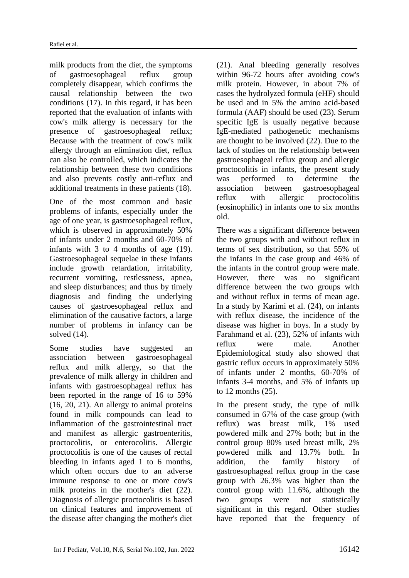milk products from the diet, the symptoms of gastroesophageal reflux group completely disappear, which confirms the causal relationship between the two conditions [\(17\)](#page-7-7). In this regard, it has been reported that the evaluation of infants with cow's milk allergy is necessary for the presence of gastroesophageal reflux; Because with the treatment of cow's milk allergy through an elimination diet, reflux can also be controlled, which indicates the relationship between these two conditions and also prevents costly anti-reflux and additional treatments in these patients [\(18\)](#page-7-8).

One of the most common and basic problems of infants, especially under the age of one year, is gastroesophageal reflux, which is observed in approximately 50% of infants under 2 months and 60-70% of infants with 3 to 4 months of age [\(19\)](#page-7-9). Gastroesophageal sequelae in these infants include growth retardation, irritability, recurrent vomiting, restlessness, apnea, and sleep disturbances; and thus by timely diagnosis and finding the underlying causes of gastroesophageal reflux and elimination of the causative factors, a large number of problems in infancy can be solved [\(14\)](#page-7-6).

Some studies have suggested an association between gastroesophageal reflux and milk allergy, so that the prevalence of milk allergy in children and infants with gastroesophageal reflux has been reported in the range of 16 to 59% [\(16,](#page-7-10) [20,](#page-7-11) [21\)](#page-7-12). An allergy to animal proteins found in milk compounds can lead to inflammation of the gastrointestinal tract and manifest as allergic gastroenteritis, proctocolitis, or enterocolitis. Allergic proctocolitis is one of the causes of rectal bleeding in infants aged 1 to 6 months, which often occurs due to an adverse immune response to one or more cow's milk proteins in the mother's diet [\(22\)](#page-7-13). Diagnosis of allergic proctocolitis is based on clinical features and improvement of the disease after changing the mother's diet

(21). Anal bleeding generally resolves within 96-72 hours after avoiding cow's milk protein. However, in about 7% of cases the hydrolyzed formula (eHF) should be used and in 5% the amino acid-based formula (AAF) should be used [\(23\)](#page-7-14). Serum specific IgE is usually negative because IgE-mediated pathogenetic mechanisms are thought to be involved [\(22\)](#page-7-13). Due to the lack of studies on the relationship between gastroesophageal reflux group and allergic proctocolitis in infants, the present study was performed to determine the association between gastroesophageal reflux with allergic proctocolitis (eosinophilic) in infants one to six months old.

There was a significant difference between the two groups with and without reflux in terms of sex distribution, so that 55% of the infants in the case group and 46% of the infants in the control group were male. However, there was no significant difference between the two groups with and without reflux in terms of mean age. In a study by Karimi et al. [\(24\)](#page-7-15), on infants with reflux disease, the incidence of the disease was higher in boys. In a study by Farahmand et al. [\(23\)](#page-7-14), 52% of infants with reflux were male. Another Epidemiological study also showed that gastric reflux occurs in approximately 50% of infants under 2 months, 60-70% of infants 3-4 months, and 5% of infants up to 12 months [\(25\)](#page-8-0).

In the present study, the type of milk consumed in 67% of the case group (with reflux) was breast milk, 1% used powdered milk and 27% both; but in the control group 80% used breast milk, 2% powdered milk and 13.7% both. In addition, the family history of gastroesophageal reflux group in the case group with 26.3% was higher than the control group with 11.6%, although the two groups were not statistically significant in this regard. Other studies have reported that the frequency of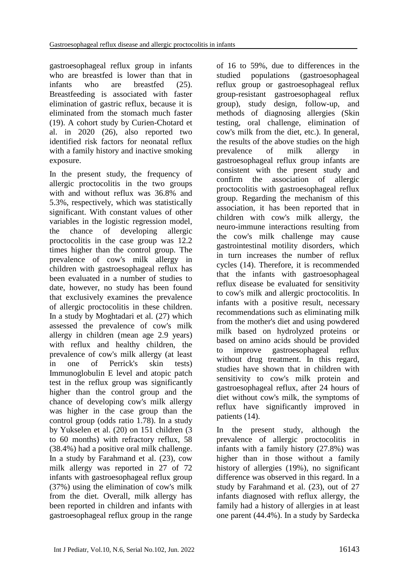gastroesophageal reflux group in infants who are breastfed is lower than that in infants who are breastfed [\(25\)](#page-8-0). Breastfeeding is associated with faster elimination of gastric reflux, because it is eliminated from the stomach much faster [\(19\)](#page-7-9). A cohort study by Curien-Chotard et al. in 2020 [\(26\)](#page-8-1), also reported two identified risk factors for neonatal reflux with a family history and inactive smoking exposure.

In the present study, the frequency of allergic proctocolitis in the two groups with and without reflux was 36.8% and 5.3%, respectively, which was statistically significant. With constant values of other variables in the logistic regression model, the chance of developing allergic proctocolitis in the case group was 12.2 times higher than the control group. The prevalence of cow's milk allergy in children with gastroesophageal reflux has been evaluated in a number of studies to date, however, no study has been found that exclusively examines the prevalence of allergic proctocolitis in these children. In a study by Moghtadari et al. [\(27\)](#page-8-2) which assessed the prevalence of cow's milk allergy in children (mean age 2.9 years) with reflux and healthy children, the prevalence of cow's milk allergy (at least in one of Perrick's skin tests) Immunoglobulin E level and atopic patch test in the reflux group was significantly higher than the control group and the chance of developing cow's milk allergy was higher in the case group than the control group (odds ratio 1.78). In a study by Yukselen et al. [\(20\)](#page-7-11) on 151 children (3 to 60 months) with refractory reflux, 58 (38.4%) had a positive oral milk challenge. In a study by Farahmand et al. [\(23\)](#page-7-14), cow milk allergy was reported in 27 of 72 infants with gastroesophageal reflux group (37%) using the elimination of cow's milk from the diet. Overall, milk allergy has been reported in children and infants with gastroesophageal reflux group in the range

of 16 to 59%, due to differences in the studied populations (gastroesophageal reflux group or gastroesophageal reflux group-resistant gastroesophageal reflux group), study design, follow-up, and methods of diagnosing allergies (Skin testing, oral challenge, elimination of cow's milk from the diet, etc.). In general, the results of the above studies on the high prevalence of milk allergy in gastroesophageal reflux group infants are consistent with the present study and confirm the association of allergic proctocolitis with gastroesophageal reflux group. Regarding the mechanism of this association, it has been reported that in children with cow's milk allergy, the neuro-immune interactions resulting from the cow's milk challenge may cause gastrointestinal motility disorders, which in turn increases the number of reflux cycles [\(14\)](#page-7-6). Therefore, it is recommended that the infants with gastroesophageal reflux disease be evaluated for sensitivity to cow's milk and allergic proctocolitis. In infants with a positive result, necessary recommendations such as eliminating milk from the mother's diet and using powdered milk based on hydrolyzed proteins or based on amino acids should be provided to improve gastroesophageal reflux without drug treatment. In this regard, studies have shown that in children with sensitivity to cow's milk protein and gastroesophageal reflux, after 24 hours of diet without cow's milk, the symptoms of reflux have significantly improved in patients [\(14\)](#page-7-6).

In the present study, although the prevalence of allergic proctocolitis in infants with a family history (27.8%) was higher than in those without a family history of allergies (19%), no significant difference was observed in this regard. In a study by Farahmand et al. [\(23\)](#page-7-14), out of 27 infants diagnosed with reflux allergy, the family had a history of allergies in at least one parent (44.4%). In a study by Sardecka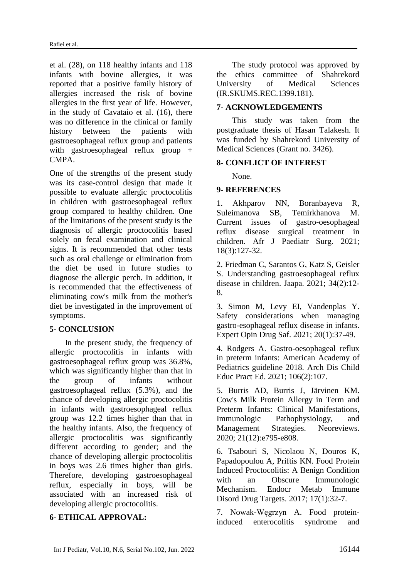et al. [\(28\)](#page-8-3), on 118 healthy infants and 118 infants with bovine allergies, it was reported that a positive family history of allergies increased the risk of bovine allergies in the first year of life. However, in the study of Cavataio et al. [\(16\)](#page-7-10), there was no difference in the clinical or family history between the patients with gastroesophageal reflux group and patients with gastroesophageal reflux group + CMPA.

One of the strengths of the present study was its case-control design that made it possible to evaluate allergic proctocolitis in children with gastroesophageal reflux group compared to healthy children. One of the limitations of the present study is the diagnosis of allergic proctocolitis based solely on fecal examination and clinical signs. It is recommended that other tests such as oral challenge or elimination from the diet be used in future studies to diagnose the allergic perch. In addition, it is recommended that the effectiveness of eliminating cow's milk from the mother's diet be investigated in the improvement of symptoms.

#### **5- CONCLUSION**

In the present study, the frequency of allergic proctocolitis in infants with gastroesophageal reflux group was 36.8%, which was significantly higher than that in the group of infants without gastroesophageal reflux (5.3%), and the chance of developing allergic proctocolitis in infants with gastroesophageal reflux group was 12.2 times higher than that in the healthy infants. Also, the frequency of allergic proctocolitis was significantly different according to gender; and the chance of developing allergic proctocolitis in boys was 2.6 times higher than girls. Therefore, developing gastroesophageal reflux, especially in boys, will be associated with an increased risk of developing allergic proctocolitis.

## **6- ETHICAL APPROVAL:**

The study protocol was approved by the ethics committee of Shahrekord University of Medical Sciences (IR.SKUMS.REC.1399.181).

# **7- ACKNOWLEDGEMENTS**

This study was taken from the postgraduate thesis of Hasan Talakesh. It was funded by Shahrekord University of Medical Sciences (Grant no. 3426).

# **8- CONFLICT OF INTEREST**

None.

# **9- REFERENCES**

<span id="page-6-0"></span>1. Akhparov NN, Boranbayeva R, Suleimanova SB, Temirkhanova M. Current issues of gastro-oesophageal reflux disease surgical treatment in children. Afr J Paediatr Surg. 2021; 18(3):127-32.

<span id="page-6-1"></span>2. Friedman C, Sarantos G, Katz S, Geisler S. Understanding gastroesophageal reflux disease in children. Jaapa. 2021; 34(2):12- 8.

<span id="page-6-2"></span>3. Simon M, Levy EI, Vandenplas Y. Safety considerations when managing gastro-esophageal reflux disease in infants. Expert Opin Drug Saf. 2021; 20(1):37-49.

<span id="page-6-3"></span>4. Rodgers A. Gastro-oesophageal reflux in preterm infants: American Academy of Pediatrics guideline 2018. Arch Dis Child Educ Pract Ed. 2021; 106(2):107.

<span id="page-6-4"></span>5. Burris AD, Burris J, Järvinen KM. Cow's Milk Protein Allergy in Term and Preterm Infants: Clinical Manifestations, Immunologic Pathophysiology, and Management Strategies. Neoreviews. 2020; 21(12):e795-e808.

<span id="page-6-5"></span>6. Tsabouri S, Nicolaou N, Douros K, Papadopoulou A, Priftis KN. Food Protein Induced Proctocolitis: A Benign Condition with an Obscure Immunologic Mechanism. Endocr Metab Immune Disord Drug Targets. 2017; 17(1):32-7.

<span id="page-6-6"></span>7. Nowak-Węgrzyn A. Food proteininduced enterocolitis syndrome and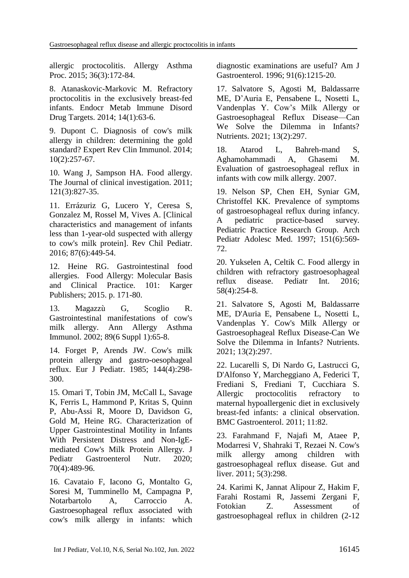allergic proctocolitis. Allergy Asthma Proc. 2015; 36(3):172-84.

<span id="page-7-0"></span>8. Atanaskovic-Markovic M. Refractory proctocolitis in the exclusively breast-fed infants. Endocr Metab Immune Disord Drug Targets. 2014; 14(1):63-6.

<span id="page-7-1"></span>9. Dupont C. Diagnosis of cow's milk allergy in children: determining the gold standard? Expert Rev Clin Immunol. 2014; 10(2):257-67.

<span id="page-7-2"></span>10. Wang J, Sampson HA. Food allergy. The Journal of clinical investigation. 2011; 121(3):827-35.

<span id="page-7-3"></span>11. Errázuriz G, Lucero Y, Ceresa S, Gonzalez M, Rossel M, Vives A. [Clinical characteristics and management of infants less than 1-year-old suspected with allergy to cow's milk protein]. Rev Chil Pediatr. 2016; 87(6):449-54.

<span id="page-7-4"></span>12. Heine RG. Gastrointestinal food allergies. Food Allergy: Molecular Basis and Clinical Practice. 101: Karger Publishers; 2015. p. 171-80.

<span id="page-7-5"></span>13. Magazzù G, Scoglio R. Gastrointestinal manifestations of cow's milk allergy. Ann Allergy Asthma Immunol. 2002; 89(6 Suppl 1):65-8.

<span id="page-7-6"></span>14. Forget P, Arends JW. Cow's milk protein allergy and gastro-oesophageal reflux. Eur J Pediatr. 1985; 144(4):298- 300.

15. Omari T, Tobin JM, McCall L, Savage K, Ferris L, Hammond P, Kritas S, Quinn P, Abu-Assi R, Moore D, Davidson G, Gold M, Heine RG. Characterization of Upper Gastrointestinal Motility in Infants With Persistent Distress and Non-IgEmediated Cow's Milk Protein Allergy. J Pediatr Gastroenterol Nutr. 2020; 70(4):489-96.

<span id="page-7-10"></span>16. Cavataio F, Iacono G, Montalto G, Soresi M, Tumminello M, Campagna P, Notarbartolo A, Carroccio A. Gastroesophageal reflux associated with cow's milk allergy in infants: which diagnostic examinations are useful? Am J Gastroenterol. 1996; 91(6):1215-20.

<span id="page-7-7"></span>17. Salvatore S, Agosti M, Baldassarre ME, D'Auria E, Pensabene L, Nosetti L, Vandenplas Y. Cow's Milk Allergy or Gastroesophageal Reflux Disease—Can We Solve the Dilemma in Infants? Nutrients. 2021; 13(2):297.

<span id="page-7-8"></span>18. Atarod L, Bahreh-mand S, Aghamohammadi A, Ghasemi M. Evaluation of gastroesophageal reflux in infants with cow milk allergy. 2007.

<span id="page-7-9"></span>19. Nelson SP, Chen EH, Syniar GM, Christoffel KK. Prevalence of symptoms of gastroesophageal reflux during infancy. A pediatric practice-based survey. Pediatric Practice Research Group. Arch Pediatr Adolesc Med. 1997; 151(6):569- 72.

<span id="page-7-11"></span>20. Yukselen A, Celtik C. Food allergy in children with refractory gastroesophageal reflux disease. Pediatr Int. 2016; 58(4):254-8.

<span id="page-7-12"></span>21. Salvatore S, Agosti M, Baldassarre ME, D'Auria E, Pensabene L, Nosetti L, Vandenplas Y. Cow's Milk Allergy or Gastroesophageal Reflux Disease-Can We Solve the Dilemma in Infants? Nutrients. 2021; 13(2):297.

<span id="page-7-13"></span>22. Lucarelli S, Di Nardo G, Lastrucci G, D'Alfonso Y, Marcheggiano A, Federici T, Frediani S, Frediani T, Cucchiara S. Allergic proctocolitis refractory to maternal hypoallergenic diet in exclusively breast-fed infants: a clinical observation. BMC Gastroenterol. 2011; 11:82.

<span id="page-7-14"></span>23. Farahmand F, Najafi M, Ataee P, Modarresi V, Shahraki T, Rezaei N. Cow's milk allergy among children with gastroesophageal reflux disease. Gut and liver. 2011; 5(3):298.

<span id="page-7-15"></span>24. Karimi K, Jannat Alipour Z, Hakim F, Farahi Rostami R, Jassemi Zergani F, Fotokian Z. Assessment of gastroesophageal reflux in children (2-12